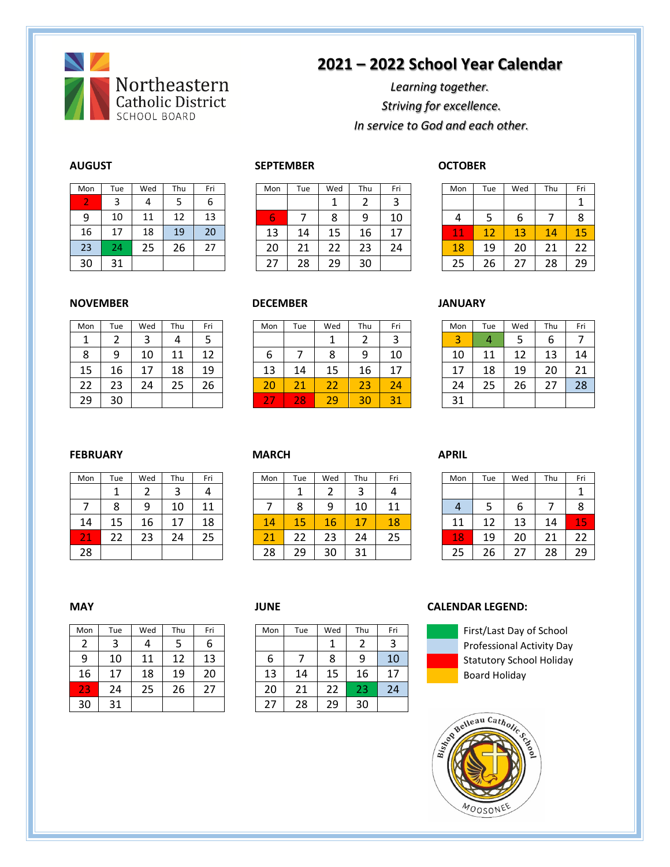

# **2021 – 2022 School Year Calendar**

## *Learning together. Striving for excellence. In service to God and each other.*

| Mon | Tue | Wed | Thu | Fri |
|-----|-----|-----|-----|-----|
| 2   | 3   |     | 5   | 6   |
| 9   | 10  | 11  | 12  | 13  |
| 16  | 17  | 18  | 19  | 20  |
| 23  | 24  | 25  | 26  | 27  |
| 30  | 31  |     |     |     |

### **AUGUST SEPTEMBER OCTOBER**

| Mon | Tue | Wed | Thu | Fri | Mon         | Tue     | Wed      | Thu | Fri    | Mon                  | Tue | Wed | Thu | Fri |
|-----|-----|-----|-----|-----|-------------|---------|----------|-----|--------|----------------------|-----|-----|-----|-----|
|     |     |     |     | b   |             |         |          |     | 2<br>ر |                      |     |     |     |     |
| 9   | 10  | 11  | 12  | 13  | $\sim$<br>b |         | 8        | 9   | 10     | 4                    |     | b   |     | 8   |
| 16  | 17  | 18  | 19  | 20  | 13          | 14      | 15       | 16  | 17     | -4<br><b>Part 19</b> | 12  | 13  | 14  | 15  |
| 23  | 24  | 25  | 26  | 27  | 20          | ີ<br>ᅀᅩ | つつ<br>LL | 23  | 24     | 18                   | 19  | 20  | 21  | າາ  |
| 30  | 31  |     |     |     | 27          | 28      | 29       | 30  |        | 25                   | 26  |     | 28  | 29  |

| Mon | Tue | Wed | Thu | Fri |
|-----|-----|-----|-----|-----|
|     |     |     |     |     |
| 4   | 5   | 6   |     | 8   |
| 11  | 12  | 13  | 14  | 15  |
| 18  | 19  | 20  | 21  | 22  |
| 25  | 26  | 27  | 28  | 29  |

### **NOVEMBER DECEMBER JANUARY**

| Mon | Tue | Wed | Thu | Fri |
|-----|-----|-----|-----|-----|
|     | 2   | 3   | 4   | 5   |
| 8   | 9   | 10  | 11  | 12  |
| 15  | 16  | 17  | 18  | 19  |
| 22  | 23  | 24  | 25  | 26  |
| 29  | 30  |     |     |     |

| Mon | Tue      | Wed     | Thu | Fri | Mon                           | Tue                         | Wed           | Thu | Fri                | Mon         | Tue | Wed | Thu      | Fri |
|-----|----------|---------|-----|-----|-------------------------------|-----------------------------|---------------|-----|--------------------|-------------|-----|-----|----------|-----|
| л   |          | ٮ       | 4   |     |                               |                             |               | _   | ∍<br>ت             | $\sim$<br>ت | 4   |     | о        |     |
| 8   | 9        | 10      | 11  | 12  | ь                             |                             |               | 9   | 10                 | 10          | 11  |     | 13       | 14  |
| 15  | 16       | 17<br>⊥ | 18  | 19  | 13                            | 14                          | 15            | 16  | 17                 | 17          | 18  | 19  | 20       | 21  |
| 22  | วว<br>دے | 24      | 25  | 26  | 20                            | $\mathbf{A}$<br><u> L J</u> | $\sim$ $\sim$ | 23  | 24                 | 24          | 25  | 26  | ີ<br>, I | 28  |
| 29  | 30       |         |     |     | $\overline{\phantom{a}}$<br>- | 28                          | 29            | 30  | $\mathbf{A}$<br>31 | 31          |     |     |          |     |

| Mon | Tue | Wed | Thu | Fri |
|-----|-----|-----|-----|-----|
| 3   | 4   | 5   | 6   |     |
| 10  | 11  | 12  | 13  | 14  |
| 17  | 18  | 19  | 20  | 21  |
| 24  | 25  | 26  | 27  | 28  |
| 31  |     |     |     |     |

### **FEBRUARY MARCH APRIL**

| Mon | Tue | Wed | Thu | Fri |
|-----|-----|-----|-----|-----|
|     |     | 2   | 3   | 4   |
|     | 8   | 9   | 10  | 11  |
| 14  | 15  | 16  | 17  | 18  |
| 21  | 22  | 23  | 24  | 25  |
| 28  |     |     |     |     |

| Mon    | Tue    | Wed      | Thu    | Fri | Mon         | Tue | Wed     | Thu | Fri | Mon         | Tue | Wed | Thu | Fri                  |
|--------|--------|----------|--------|-----|-------------|-----|---------|-----|-----|-------------|-----|-----|-----|----------------------|
|        |        | <u>.</u> | ς<br>ر | 4   |             |     |         | ◠   | 4   |             |     |     |     |                      |
|        | o<br>Õ | 9        | 10     | 11  |             | 8   | a       | 10  | 11  | 4           |     | b   |     | 8                    |
| 14     | 15     | 16       | 17     | 18  | 14          | 15  | 16      | 17  | 18  | 11          | 12  | 13  | 14  | MО<br><b>Service</b> |
| $\sim$ | 22     | 23       | 24     | 25  | $\sim$<br>ᅀ | 22  | ີ<br>23 | 24  | 25  | <u> 187</u> | 19  | 20  | 21  | 22                   |
| 28     |        |          |        |     | 28          | 29  | 30      | 31  |     | 25          | 26  |     | 28  | 29                   |

| Mon | Tue | Wed | Thu | Fri |
|-----|-----|-----|-----|-----|
|     |     |     |     |     |
| 4   | 5   | 6   |     | 8   |
| 11  | 12  | 13  | 14  | 15  |
| 18  | 19  | 20  | 21  | 22  |
| 25  | 26  | 27  | 28  | 29  |

| Mon | Tue | Wed | Thu | Fri | Mon | Tue | Wed | Thu | Fri |
|-----|-----|-----|-----|-----|-----|-----|-----|-----|-----|
|     | 3   | 4   |     | ь   |     |     |     |     | 3   |
| 9   | 10  | 11  | 12  | 13  | b   |     | 8   | 9   | 10  |
| 16  | 17  | 18  | 19  | 20  | 13  | 14  | 15  | 16  | 17  |
| 23  | 24  | 25  | 26  | 27  | 20  | 21  | 22  | 23  | 24  |
| 30  | 31  |     |     |     |     | 28  | 29  | 30  |     |

| 1on | Tue | Wed | Thu | Fri | Mon | Tue | Wed | Thu | Fri |
|-----|-----|-----|-----|-----|-----|-----|-----|-----|-----|
| 2   |     | 4   |     | ь   |     |     |     |     |     |
| 9   | 10  |     | 12  | 13  | ь   |     | 8   | 9   | 10  |
| 6   | 17  | 18  | 19  | 20  | 13  | 14  | 15  | 16  | 17  |
| 13  | 24  | 25  | 26  | 27  | 20  | 21  | 22  | 23  | 24  |
| 30  |     |     |     |     | 27  | 28  | 29  | 30  |     |

### **MAY JUNE CALENDAR LEGEND:**